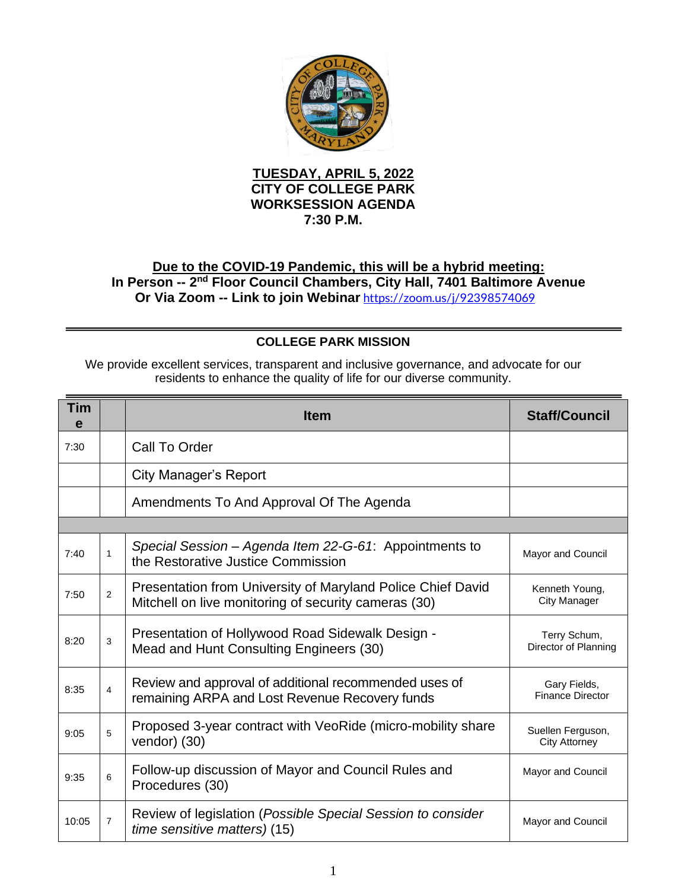

## **TUESDAY, APRIL 5, 2022 CITY OF COLLEGE PARK WORKSESSION AGENDA 7:30 P.M.**

## **Due to the COVID-19 Pandemic, this will be a hybrid meeting:** In Person -- 2<sup>nd</sup> Floor Council Chambers, City Hall, 7401 Baltimore Avenue **Or Via Zoom -- Link to join Webinar** <https://zoom.us/j/92398574069>

## **COLLEGE PARK MISSION**

We provide excellent services, transparent and inclusive governance, and advocate for our residents to enhance the quality of life for our diverse community.

| Tim<br>e |                | <b>Item</b>                                                                                                         | <b>Staff/Council</b>                      |  |  |
|----------|----------------|---------------------------------------------------------------------------------------------------------------------|-------------------------------------------|--|--|
| 7:30     |                | Call To Order                                                                                                       |                                           |  |  |
|          |                | City Manager's Report                                                                                               |                                           |  |  |
|          |                | Amendments To And Approval Of The Agenda                                                                            |                                           |  |  |
|          |                |                                                                                                                     |                                           |  |  |
| 7:40     | 1              | Special Session - Agenda Item 22-G-61: Appointments to<br>the Restorative Justice Commission                        | Mayor and Council                         |  |  |
| 7:50     | $\overline{2}$ | Presentation from University of Maryland Police Chief David<br>Mitchell on live monitoring of security cameras (30) | Kenneth Young,<br>City Manager            |  |  |
| 8:20     | 3              | Presentation of Hollywood Road Sidewalk Design -<br>Mead and Hunt Consulting Engineers (30)                         | Terry Schum,<br>Director of Planning      |  |  |
| 8:35     | $\overline{4}$ | Review and approval of additional recommended uses of<br>remaining ARPA and Lost Revenue Recovery funds             | Gary Fields,<br><b>Finance Director</b>   |  |  |
| 9:05     | 5              | Proposed 3-year contract with VeoRide (micro-mobility share<br>vendor) (30)                                         | Suellen Ferguson,<br><b>City Attorney</b> |  |  |
| 9:35     | 6              | Follow-up discussion of Mayor and Council Rules and<br>Procedures (30)                                              | Mayor and Council                         |  |  |
| 10:05    | $\overline{7}$ | Review of legislation (Possible Special Session to consider<br>time sensitive matters) (15)                         | Mayor and Council                         |  |  |